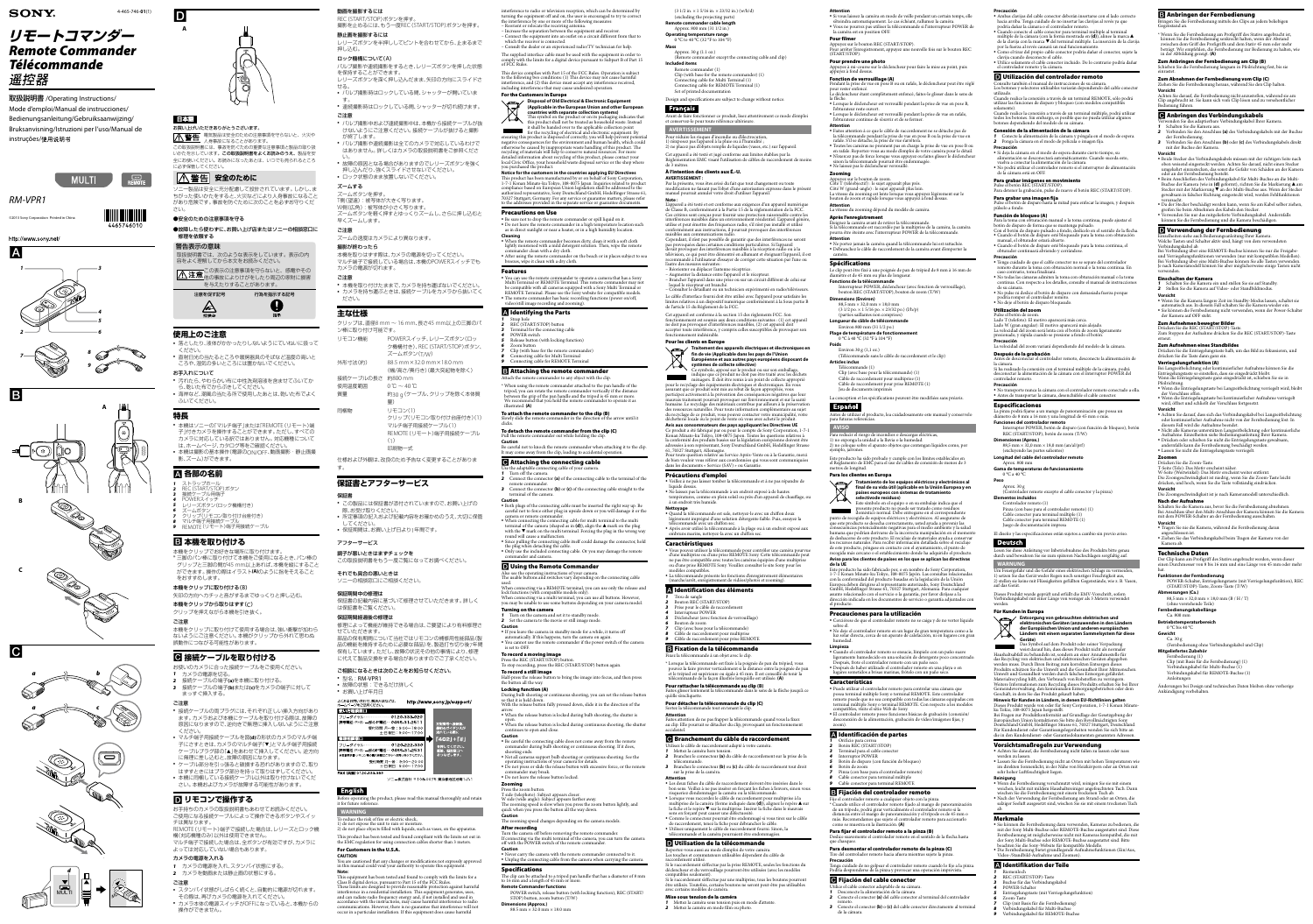# **リモートコマンダー** *Remote Commander Télécommande*

取扱説明書 /Operating Instructions/ Mode d'emploi/Manual de instrucciones/ Bedienungsanleitung/Gebruiksaanwijzing/ Bruksanvisning/Istruzioni per l'uso/Manual de instruções/使用说明书



# **SONY**

4-465-746-**01**(1)

# *RM-VPR1*

©2013 Sony Corporation Printed in China







### 動画を撮影するには

REC(START/STOP)ボタンを押す。 撮影を止めるには、もう一度REC(START/STOP)ボタンを押す。 静止画を撮影するには

レリーズボタンを半押ししてピントを合わせてから、止まるまで 押し込む。

#### ロック機構について(A) バルブ撮影や連続撮影をするとき、レリーズボタンを押した状態

- を保持することができます。 レリーズボタンを深く押し込んだまま、矢印の方向にスライドさ
- せる。 ˎ バルブ撮影時はロックしている間、シャッターが開いていま す。
- ˎ 連続撮影時はロックしている間、シャッターが切れ続けます。 ご注意
- 
- ˎ バルブ撮影中および連続撮影中は、本機から接続ケーブルが抜 けないようにご注意ください。接続ケーブルが抜けると撮影 が終了します。 ● バルブ撮影や連続撮影は全てのカメラで対応しているわけで
- はありません。詳しくはカメラの取扱説明書をご参照くださ い。
- ˎ 故障の原因となる場合がありますのでレリーズボタンを強く ー・・・・・・・・・。<br>押し込んだり、強くスライドさせないでください。
- ˎ ロック状態のまま放置しないでください。
- ズームする ズームボタンを押す。
- T側(望遠):被写体が大きく写ります。

# W側(広角):被写体が小さく写ります。

ズームボタンを軽く押すとゆっくりズームし、さらに押し込むと 早くズームします。

ご注意

ズームの速度はカメラにより異なります。

撮影が終わったら

- 本機を取りはずす際は、カメラの電源を切ってください。 マルチ端子で接続している場合は、本機のPOWERスイッチでも カメラの電源が切れます。
- ご注意
- 本機を取り付けたままで、カメラを持ち運ばないでください。 ˎ カメラを持ち運ぶときは、接続ケーブルをカメラから抜いてく ださい。

To reduce the risk of fire or electric shock, 1) do not expose the unit to rain or moistur

# **主な仕様**

クリップは、直径8 mm ~ 16 mm、長さ45 mm以上の三脚のパ ン棒に取り付け可能です。

| リモコン機能    | POWERスイッチ、レリーズボタン(ロッ<br>ク機構付き)、REC (START/STOP)ボタン、<br>ズームボタン(T/W) |
|-----------|--------------------------------------------------------------------|
| 外形寸法(約)   | 88.5 mm × 32.0 mm × 18.0 mm<br>(幅/高さ/奥行き)(最大突起物を除く)                |
| 接続ケーブルの長さ | 約800 mm                                                            |
| 使用温度範囲    | $0^{\circ}$ C ~ 40 $^{\circ}$ C                                    |
| 質量        | 約30 g (ケーブル、クリップを除く本体質                                             |
|           | 量)                                                                 |
| 同梱物       | リモコン(1)                                                            |

クリップ(リモコン取り付け台座付き)(1)

マルチ端子用接続ケーブル(1) REMOTE(リモート)端子用接続ケーブル (1) 印刷物一式

仕様および外観は、改良のため予告なく変更することがありま す。

# **保証書とアフターサービス**

- 保証書
- ˎ この製品には保証書が添付されていますので、お買い上げの 際、お受け取りください。
- ˎ 所定事項の記入および記載内容をお確かめのうえ、大切に保管
- してください。 <sup>ˎ</sup> 保証期間は、お買い上げ日より1年間です。
- アフターサービス
- 調子が悪いときはまずチェックを

この取扱説明書をもう一度ご覧になってお調べください。

それでも具合の悪いときは

ソニーの相談窓口にご相談ください。

保証期間中の修理は

保証書の記載内容に基づいて修理させていただきます。詳しく

は保証書をご覧ください。 保証期間経過後の修理は

### nterference to radio or television reception, which can be determined by turning the equipment off and on, the user is encouraged to try to correct the interference by one or more of the following measures:

修理によって機能が維持できる場合は、ご要望により有料修理さ

せていただきます。

部品の保有期間について当社ではリモコンの補修用性能部品(製 品の機能を維持するために必要な部品)を、製造打ち切り後7年間 ー<br>保有しています。ただし、故障の状況その他の事情により、修理 に代えて製品交換をする場合がありますのでご了承ください。

ご相談になるときは次のことをお知らせください。

受付時間 月~金:9:00~18:0 十·日·祝日:9:00~1

受付時間 月~金:9:00~20:00<br>土·日·祝日:9:00~17:00

よくあるお問い合わせ、解決方法などは、 http://www.sony.jp/support/

 $-0120-333-020$ 

 $-0120-222-330$ 

に番号へ接続<mark>。</mark><br>刃のガイダン:

[402]+[#.

直接、担当窓口<br>おつなぎします

<sup>ˎ</sup> 型名:RM-VPR1

• お買い上げ年月日

使い方相談窓口 ーダイヤー

ルーダイヤル

ˎ 故障の状態:できるだけ詳しく

携帯電話·PHS·一部のIP電話…0466-31-2511

(取扱説明書・リモコン等の購入相談はこちらへお問い合わせくだ)

Before operating the product, please read this manual thoroughly and retain

ソニー株式会社 〒108-0075 東京都港区港南1-7-1

it for future reference. **WARNING**

**English** 

FAX (共通) 0120-333-389

This symbol on the product or on its packaging indicates that this product shall not be treated as household waste. Instead it shall be handed over to the applicable collection point for the recycling of electrical and electronic equipment. By ensuring this product is disposed of correctly, you will help prevent potential negative consequences for the environment and human health, which could otherwise be caused by inappropriate waste handling of this product. The recycling of materials will help to conserve natural resources. For more detailed information about recycling of this product, please contact your local Civic Office, your household waste disposal service or the shop where

2) do not place objects filled with liquids, such as vases, on the apparatus. This product has been tested and found compliant with the limits set out in the EMC regulation for using connection cables shorter than 3 meters.

For Customers in the U.S.A.

**CAUTION**

You are cautioned that any changes or modifications not expressly approved in this manual could void your authority to operate this equipment.

**Note:**

This equipment has been tested and found to comply with the limits for a Class B digital device, pursuant to Part 15 of the FCC Rules.

These limits are designed to provide reasonable protection against harmful interference in a residential installation. This equipment generates, uses, and can radiate radio frequency energy and, if not installed and used in accordance with the instructions, may cause harmful interference to radio communications. However, there is no guarantee that interference will not occur in a particular installation. If this equipment does cause harmful

#### • When the remote commander becomes dirty, clean it with a soft cloth lightly moistened with a mild detergent solution. Then, wipe the remote

• After using the remote commander on the beach or in places subject to sea breezes, wipe it clean with a dry cloth.











*b*







Attach the remote commander to any object with the clip. \* When using the remote commander attached to the pan handle of the tripod, you can rotate the remote commander vertically if the distance between the grip of the pan handle and the tripod is 45 mm or more. We recommend that you hold the remote commander to operate it as

– Reorient or relocate the receiving antenna. – Increase the separation between the equipment and receiver. – Connect the equipment into an outlet on a circuit different from that to

which the receiver is connected.

- Consult the dealer or an experienced radio/TV technician for help.
- The supplied interface cable must be used with the equipment in order to comply with the limits for a digital device pursuant to Subpart B of Part 15

of FCC Rules.

#### This device complies with Part 15 of the FCC Rules. Operation is subject to the following two conditions: (1) This device may not cause harmful interference, and (2) this device must accept any interference received, including interference that may cause undesired operation.

ˎˎ Since pulling the connecting cable itself could damage the connector, hold the plug when detaching the cable. • Only use the included connecting cable. Or you may damage the remote

# **D** Using the Remote Commander

For the Customers in Europe

#### **Disposal of Old Electrical & Electronic Equipment (Applicable in the European Union and other European countries with separate collection systems)**

Also see the operating instructions of your camer The usable buttons and switches vary depending on the connecting cable used. When connecting via a REMOTE terminal, you can use only the release and lock functions (with compatible models only). When connecting via a multi terminal, you can use all buttons. However,

you purchased the product.

#### **Notice for the customers in the countries applying EU Directives** This product has been manufactured by or on behalf of Sony Corporation, 1-7-1 Konan Minato-ku Tokyo, 108-0075 Japan. Inquiries related to product compliance based on European Union legislation shall be addressed to the authorized representative, Sony Deutschland GmbH, Hedelfinger Strasse 61, 70327 Stuttgart, Germany. For any service or guarantee matters, please refer to the addresses provided in the separate service or guarantee documents.

ˎˎ Never carry the camera with the remote commander connected to it. • Unplug the connecting cable from the camera when carrying the camera.

Precautions on Use

ommander clean with a dry cloth.

### 日本語 お買い上げいただきありがとうございます。

D

ˎˎ Be sure not to drop the remote commander or spill liquid on it. ˎˎ Do not leave the remote commander in a high temperature location such as in direct sunlight or near a heater, or in a high humidity location.

ー - ー - ー - ー - ・・・・・。<br>
2 警告 電気製品は安全のための注意事項を守らないと、火災や 人身事故になることがあります。 この取扱説明書には、事故を防ぐための重要な注意事項と製品の取り扱 いかたを示しています。この取扱説明書をよくお読みのうえ、製品を安 全にお使いください。お読みになったあとは、いつでも見られるところ に必ず保管してください。

# **| 个警告 安全のために**

**Cleaning**

●故障したら使わずに、お買い上げ店またはソニーの相談窓口に 修理を依頼する

- 落としたり、液体がかかったりしないようにていねいに扱って ください。 ˎ 直射日光の当たるところや暖房器具のそばなど温度の高いと
- ころや、湿気の多いところには置かないでください。 お手入れについて
- 汚れたら、やわらかい布に中性洗剤溶液を含ませてふいてか ら、乾いた布でからぶきしてください。
- ˎ 海岸など、潮風の当たる所で使用したあとは、乾いた布でよく ふいてください。

- *1* ストラップホール *2* REC(START/STOP)ボタン
- *3* 接続ケーブル用端子 *4* POWERスイッチ
- *5* レリーズボタン(ロック機構付き) *6* ズームボタン
- *7* クリップ(リモコン取り付け台座付き) *8* マルチ端子用接続ケーブル
- REMOTE(リモート)端子用接続ケーブル

Features

#### ˎˎ You can use the remote commander to operate a camera that has a Sony Multi Terminal or REMOTE Terminal. This remote commander may not e compatible with all cameras equipped with a Sony Multi Terminal or REMOTE Terminal. Please see the Sony website for compatible models. • The remote commander has basic recording functions (power on/off, video/still image recording and zooming).

Identifying the Parts

*1* Strap hole

*2* REC (START/STOP) button

*3* Terminal for the connecting cable

*4* POWER switch

# *5* Release button (with locking function)

*6* Zoom button

*7* Clip (with base for the remote commander) *8* Connecting cable for Multi Terminal *9* Connecting cable for REMOTE Terminal

# Attaching the remote commander

#### $(3 \frac{1}{2} \text{ in.} \times 1 \frac{5}{16} \text{ in.} \times 23/32 \text{ in.}) \text{ (w/h/d)}$ (excluding the projecting parts) **Remote commander cable length** Approx. 800 mm (31 1/2 in.) **Operating temperature range** 0 °C to 40 °C (32 °F to 104 °F)

illustrated. **(A)**

# To attach the remote commander to the clip (B)

# Slowly slide the remote commander in the direction of the arrow until it

clicks.

#### To detach the remote commander from the clip (C) Pull the remote commander out while holding the clip.

**Caution**

Be careful not to knock the remote commander when attaching it to the clip. It may come away from the clip, leading to accidental operation Attaching the connecting cable

# Use the adaptable connecting cable of your camera.

#### L'appareil a été testé et est conforme aux exigences d'un appareil numérique de Classe B, conformément à la Partie 15 de la réglementation de la FCC. Ces critères sont conçus pour fournir une protection raisonnable contre les interférences nuisibles dans un environnement résidentiel. L'appareil génère, utilise et peut émettre des fréquences radio; s'il n'est pas installé et utilisé conformément aux instructions, il pourrait provoquer des interférences nuisibles aux communications radio.

Cependant, il n'est pas possible de garantir que des interférences ne seront pas provoquées dans certaines conditions particulières. Si l'appareil devait provoquer des interférences nuisibles à la réception radio ou à la télévision, ce qui peut être démontré en allumant et éteignant l'appareil, il est recommandé à l'utilisateur d'essayer de corriger cette situation par l'une ou l'autre des mesures suivantes

*1* Turn off the camera.

remote commander.

*2* Connect the connector **(a)** of the connecting cable to the terminal of the *3* Connect the connector **(b)** or **(c)** of the connecting cable straight to the

terminal of the camera.

**Caution**

#### ˎˎ Both plugs of the connecting cable must be inserted the right way up. Be careful not to force either plug in upside down or you will damage it or the

When connecting the connecting cable for multi terminal to the multi terminal of the camera (shaped as in  $(d)$ ), align the  $\triangle$  mark on the plug with the  $\blacktriangledown$  mark on the multi terminal. Forcing the plug in the wrong way

camera or remote commander.

**Traitement des appareils électriques et électroniques en fin de vie (Applicable dans les pays de l'Union Européenne et aux autres pays européens disposant de systèmes de collecte sélective)** </del>

round will cause a malfunction.

commander and camera.

you may be unable to use some buttons depending on your camera model.

Turning on the camera

#### *1* Turn on the camera and set it to standby mode. *2* Set the camera to the movie or still image mode.

**Caution**

ˎˎ If you leave the camera in standby mode for a while, it turns off automatically. If this happens, turn the camera on again. ˎˎ You cannot use the remote commander if the power switch of the camera

is set to OFF.

To record a moving image

#### Press the REC (START/STOP) button. To stop recording, press the REC (START/STOP) button again.

To record a still image

Half-press the release button to bring the image into focus, and then press

the button all the way. Locking function (A)

so that it is held down.

During bulb shooting or continuous shooting, you can set the release button With the release button fully pressed down, slide it in the direction of the

bting ends.

#### *8* Câble de raccordement pour multiprise Câble de raccordement pour prise REMOTE

arrow.

Fixez la télécommande à un objet avec le clip. \* Lorsque la télécommande est fixée à la poignée de pan du trépied, vous pouvez la faire pivoter verticalement si la distance entre la poignée de pan<br>et le trépied est supérieure ou égale à 45 mm. Il est conseillé de tenir la<br>télécommande de la façon illustrée lorsqu'elle est utilisée. **(A)** 

open.

ˎˎ When the release button is locked during bulb shooting, the shutter is ˎˎ When the release button is locked during continuous shooting, the shutter

### • Be careful the connecting cable does not come away from the remote commander during bulb shooting or continuous shooting. If it does,

• Not all cameras support bulb shooting or continuous shooting. See the operating instructions of your camera for details. ˎˎ Do not press or slide the release button with excessive force, or the remote • Do not leave the release button locked.

continues to open and close.

**Caution**

#### **Branchement du câble de raccordement** Utilisez le câble de raccordement adapté à votre caméra.

commander may break.

Zooming

Press the zoom button.

#### T side (telephoto): Subject appears closer. W side (wide angle): Subject appears farther away. The zooming speed is slow when you press the zoom button lightly, and quick when you press the button all the way down.

**Caution**

The zooming speed changes depending on the camera models.

After recording

**Specifications** 

# Turn the camera off before removing the remote commander. If connecting via the multi terminal of the camera, you can turn the camera off with the POWER switch of the remote commander.

**Caution**

# The clip can be attached to a tripod pan handle that has a diameter of 8 mm to 16 mm and a length of 45 mm or more.

**Remote Commander functions**

POWER switch, release button (with locking function), REC (START/ STOP) button, zoom button (T/W)

**Dimensions (Approx.)**

88.5 mm × 32.0 mm × 18.0 mm

**A**

ソニー製品は安全に充分配慮して設計されています。しかし、ま ちがった使いかたをすると、火災などにより人身事故になること があり危険です。事故を防ぐために次のことを必ずお守りくだ さい。

# ●安全のための注意事項を守る

# 警告表示の意味

取扱説明書では、次のような表示をしています。表示の内 容をよく理解してから本文をお読みください。

この表示の注意事項を守らないと、感電やその 他の事故によりけがをしたり周辺の家財に損害 を与えたりすることがあります。



# **使用上のご注意**

# **特長**

- <sup>ˎ</sup> 本機はソニーの「マルチ端子」または「REMOTE(リモート)端 子」付きカメラを操作することができます。ただし、すべての カメラに対応している訳ではありません。対応機種について は、ホームページ、カタログ等をご確認ください。
- <sup>ˎ</sup> 本機は撮影の基本操作(電源のON/OFF、動画撮影・静止画撮 影、ズーム)ができます。

# **各部の名前**

# **本機を取り付ける**

 $88.5$  mm  $\times$  32.0 mm  $\times$  18.0 mm  $(3 \frac{1}{2} \text{ po.} \times 1 \frac{5}{16} \text{ po.} \times 23/32 \text{ po.})$  (l/h/p) (parties saillantes non comprises) **Longueur du câble de télécommande** Environ 800 mm (31 1/2 po.) **Plage de température de fonctionner** 0 °C à 40 °C (32 °F à 104 °F)

本機をクリップでお好きな場所に取り付けます。 \* 三脚のパン棒に取り付けて本機をご使用になるとき、パン棒の グリップと三脚の間が45 mm以上あれば、本機を縦にすること ができます。操作の際はイラスト**(A)**のように指をそえること をおすすめします。

本機をクリップに取り付ける(B)

矢印の方向へカチッと音がするまでゆっくりと押し込む。 本機をクリップから取りはずす(C)

# クリップを押えながら本機を引き抜く。

ご注意 本機をクリップに取り付けて使用する場合は、強い衝撃が加わら ないようにご注意ください。本機がクリップから外れて思わぬ 誤動作につながる可能性があります。

# **接続ケーブルを取り付ける**

- お使いのカメラに合った接続ケーブルをご使用ください。
- *1* カメラの電源を切る。 *2* 接続ケーブルの端子**(a)**を本機に取り付ける。
- *3* 接続ケーブルの端子**(b)**または**(c)**をカメラの端子に対して まっすぐ挿入する。
- ご注意
- ˎ 接続ケーブルの両プラグには、それぞれ正しい挿入方向があり ます。カメラおよび本機にケーブルを取り付ける際は、故障の 原因になりますので、逆向きで無理に挿入しないようにご注意 ください。
- ˎ マルチ端子用接続ケーブルを図**(d)**の形状のカメラのマルチ端 子にさすときは、カメラのマルチ端子「▼」とマルチ端子用接続 ケーブルプラグ部の「」をあわせて挿入してください。逆方向
- に無理に差し込むと、故障の原因になります。 ▪ ケーブル部分を引っ張ると破損する恐れがありますので、取り
- はずすときにはプラグ部分を持って取りはずしてください。 ▪ 本機に同梱している接続ケーブル以外は取り付けないでくだ さい。本機およびカメラが故障する可能性があります。

# **リモコンで操作する**

お手持ちのカメラの取扱説明書もあわせてお読みください。 ご使用になる接続ケーブルによって操作できるボタンやスイッ

チは異なります。 REMOTE(リモート)端子で接続した場合は、レリーズとロック機 構(対応機種のみ)以外は使用できません。 マルチ端子で接続した場合は、全ボタンが有効ですが、カメラに

# よっては対応していない場合もあります。

- カメラの電源を入れる *1* カメラの電源を入れ、スタンバイ状態にする。
- *2* カメラを動画または静止画の状態にする。
- ご注意
- スタンバイ状態がしばらく続くと、自動的に電源が切れます。 その際は、再びカメラの電源を入れてください。 <sup>ˎ</sup> カメラ本体の電源スイッチがOFFになっていると、本機からの 操作ができません。

### **Mass**

Approx. 30 g (1.1 oz.) (Remote commander except the connecting cable and clip) **Included items** Remote commander (1) Clip (with base for the remote commander) (1) Connecting cable for Multi Terminal (1)

#### Connecting cable for REMOTE Terminal (1) Set of printed documentation Design and specifications are subject to change without notice.

# **Français**

Avant de faire fonctionner ce produit, lisez attentivement ce mode d'emploi et conservez-le pour toute référence ultérieure. **AVERTISSEMENT**

# Pour réduire les risques d'incendie ou d'électrocution,

1) n'exposez pas l'appareil à la pluie ou à l'humidité ; 2) ne placez pas d'objets remplis de liquides (vases, etc.) sur l'appareil. Cet appareil a été testé et jugé conforme aux limites établies par la entation EMC visant l'utilisation de câbles de raccordement de moin de 3 mètres.

### À l'intention des clients aux É.-U.

Para desmontar el controlador remoto de la pinza (C) Tire del controlador remoto hacia afuera mientras sujet

Tenga cuidado de no golpear el controlador remoto cuando lo fije a la pinza. odría desprenderse de la pinza y provocar una operación imprevista.

**AVERTISSEMENT :** Par la présente, vous êtes avisé du fait que tout changement ou toute modification ne faisant pas l'objet d'une autorisation expresse dans le présent manuel pourrait annuler votre droit d'utiliser l'appareil. **Note :**

– Réorienter ou déplacer l'antenne réceptrice. – Augmenter la distance entre l'appareil et le récepteur.

#### – Brancher l'appareil dans une prise ou sur un circuit différent de celui sur lequel le récepteur est branché. – Consulter le détaillant ou un technicien expérimenté en radio/téléviseurs. Le câble d'interface fourni doit être utilisé avec l'appareil pour satisfaire les nites relatives à un dispositif numérique conformément à la Sous partie B de l'article 15 du Règlement de la FCC.

podría romper el controlador remo ˎˎ No deje el botón de disparo bloqueado.

Cet appareil est conforme à la section 15 des règlements FCC. Son fonctionnement est soumis aux deux conditions suivantes : (1) cet appareil ne doit pas provoquer d'interférences nuisibles, (2) cet appareil doit accepter toute interférence, y compris celles susceptibles de provoquer son fonctionnement indésirable.

### Pour les clients en Europe

(excluyendo las partes salientes) Longitud del cable del controlador remot

**Gama de temperaturas de funcionamient** 

Ce symbole, apposé sur le produit ou sur son emballage, indique que ce produit ne doit pas être traité avec les déchets **The Company** ménagers. Il doit être remis à un point de collecte approprié pour le recyclage des équipements électriques et électroniques. En vous assurant que ce produit sont mis au rebut de façon appropriée, vous participez activement à la prévention des conséquences négatives que leur mauvais traitement pourrait provoquer sur l'environnement et sur la santé naine. Le recyclage des matériaux contribue par ailleurs à la préservation des ressources naturelles. Pour toute information complémentaire au sujet du recyclage de ce produit, vous pouvez contacter votre municipalité, votre déchetterie locale ou le point de vente où vous avez acheté le produit. **Avis aux consommateurs des pays appliquant les Directives UE** Ce produit a été fabriqué par ou pour le compte de Sony Corporation, 1-7-1 Konan Minato-ku Tokyo, 108-0075 Japon. Toutes les questions relatives à

la conformité des produits basées sur la législation européenne doivent être adressées à son représentant, Sony Deutschland GmbH, Hedelfinger Strasse 61, 70327 Stuttgart, Allemagne.

Pour toute question relative au Service Après-Vente ou à la Garantie, merci de bien vouloir vous référer aux coordonnées qui vous sont communiquées dans les documents « Service (SAV) » ou Garantie.

### Précautions d'emploi

- ˎˎ Veillez à ne pas laisser tomber la télécommande et à ne pas répandre de liquide dessus. ˎˎ Ne laissez pas la télécommande à un endroit exposé à de hautes températures, comme en plein soleil ou près d'un appareil de chauffage, ou
- à un endroit très humide.
- **Nettoyage** ˎˎ Quand la télécommande est sale, nettoyez-le avec un chiffon doux
- légèrement imprégné d'une solution détergente faible. Puis, essuyez la télécommande avec un chiffon sec.  $\bullet\,$  Après avoir utilisé la télécommande à la plage ou à un endroit exposé aux embruns marins, nettoyez-la avec un chiffon sec.

### Caractéristiques

ringen Sie die Fernbedienung mittels des Clips an jedem beliebigen Gegenstand an.

- ˎˎ Vous pouvez utiliser la télécommande pour contrôler une caméra pourvue d'une multiprise ou d'une prise REMOTE Sony. Cette télécommande peut ne pas être compatible avec toutes les caméras équipées d'une multiprise ou d'une prise REMOTE Sony. Veuillez consulter le site Sony pour les
- modèles compatibles. ˎˎ La télécommande présente les fonctions d'enregistrement élémentaires (marche/arrêt, enregistrement de vidéos/photos et zooming).

### Identification des éléments

Achten Sie darauf, die Fernbedienung nicht anzustoßen, während sie am Clip angebracht ist. Sie kann sich vom Clip lösen und zu versehentlicher ung führen.

- *1* Trou de sangle *2* Bouton REC (START/STOP) *3* Prise pour le câble de raccordement
- *4* Interrupteur POWER *5* Déclencheur (avec fonction de verrouillage)
- *6* Bouton de zoom *7* Clip (avec base pour la télécommande)

# Fixation de la télécommande

#### Pour rattacher la télécommande au clip **(B)** Faites glisser lentement la télécommande dans le sens de la flèche jusqu'à ce

qu'elle s'encliquette. Pour détacher la télécommande du clip (C)

# Sortez la télécommande tout en tenant le clip.

**Attention** Faites attention de ne pas frapper la télécommande quand vous la fixez au clip. Elle pourrait se détacher du clip, provoquant un fonctionnement accidentel.

- $\bullet$  Wenn die Entriegelungstaste bei Langzeitbelichtung verriegelt wird, bleibt der Verschluss offen. ˎˎ Wenn die Entriegelungstaste bei kontinuierlicher Aufnahme verriegelt
- wird, öffnet und schließt der Verschluss fortgesetzt. **Vorsicht**
- ˎˎ Achten Sie darauf, dass sich das Verbindungskabel bei Langzeitbelichtung oder kontinuierlicher Aufnahme nicht von der Fernbedienung löst. In
- diesem Fall wird die Aufnahme beendet. ˎˎ Nicht alle Kameras unterstützen Langzeitbelichtung oder kontinuierliche Aufnahme. Einzelheiten siehe Bedienungsanleitung Ihrer Kamera.

- *1* Mettez la caméra hors tension. *2* Branchez le connecteur **(a)** du câble de raccordement sur la prise de la télécommande. *3* Branchez le connecteur **(b)** ou **(c)** du câble de raccordement tout droit sur la prise de la caméra.
- **Attention** ˎˎ Les deux fiches du câble de raccordement doivent être insérées dans le bon sens. Veillez à ne pas insérer en forçant les fiches à l'envers, sinon vous risqueriez d'endommager la caméra ou la télécommande. ˎˎ Lorsque vous raccordez le câble de raccordement pour multiprise à la multiprise de la caméra (forme indiquée dans (d)), alignez le repère ▲ sur la fiche et le repère ▼ sur la multiprise. Insérer la fiche dans le mauvais sens en forçant peut causer une défectuosité. ˎˎ Comme le connecteur pourrait être endommagé si vous tirez sur le câble de raccordement, tenez la fiche pour débrancher le câble.
- ˎˎ Utilisez uniquement le câble de raccordement fourni. Sinon, la télécommande et la caméra pourraient être endommagées. Utilisation de la télécommande

avec certains modèles de caméra. Mise sous tension de la caméra

*1* Mettez la caméra sous tension puis en mode d'attente.

*2* Mettez la caméra en mode film ou photo.

**Attention**

ˎˎ Si vous laissez la caméra en mode de veille pendant un certain temps, elle s'éteindra automatiquement. Le cas échéant, rallumez la caméra. ˎˎ Vous ne pourrez pas utiliser la télécommande si l'interrupteur POWER de

our arrêter l'enregistrement, appuyez une nouvelle fois sur le bouton REC

la caméra est en position OFF.

Pour filmer

Appuyez sur le bouton REC (START/STOP).

(START/STOP).

Pour prendre une photo

Appuyez à mi-course sur le déclencheur pour faire la mise au point, puis

appuyez à fond dessus.

Fonction de verrouillage (A)

Pendant la prise de vue en pose B ou en rafale, le déclencheur peut être réglé

pour rester enfoncé.

Le déclencheur étant complètement enfoncé, faites-le glisser dans le sens de

la flèche.

ˎˎ Lorsque le déclencheur est verrouillé pendant la prise de vue en pose B,

l'obturateur reste ouvert.

ˎˎ Lorsque le déclencheur est verrouillé pendant la prise de vue en rafale,

l'obturateur continue de s'ouvrir et de se fermer.

**Attention**

ˎˎ Faites attention à ce que le câble de raccordement ne se détache pas de la télécommande pendant la prise de vue en pose B ou la prise de vue en

rafale. S'il se détache, la prise de vue s'arrêtera.

ˎˎ Toutes les caméras ne prennent pas en charge la prise de vue en pose B ou en rafale. Reportez-vous au mode d'emploi de votre caméra pour le détail. ˎˎ N'exercez pas de force lorsque vous appuyez ou faites glisser le déclencheur

sinon la télécommande pourrait être endommagée.

ˎˎ Ne laissez pas le déclencheur verrouillé.

Zooming

Appuyez sur le bouton de zoom.

Côté T (téléobjectif) : le sujet apparaît plus près. Côté W (grand-angle) : le sujet apparaît plus loin.

La vitesse du zooming est lente lorsque vous appuyez légèrement sur le bouton de zoom et rapide lorsque vous appuyez à fond dessus.

**Attention**

La vitesse du zooming dépend du modèle de caméra.

Après l'enregistrement

Éteignez la caméra avant de retirer la télécommande. Si la télécommande est raccordée par la multiprise de la caméra, la caméra pourra être éteinte avec l'interrupteur POWER de la télécommande.

**Attention**

ˎˎ Ne portez jamais la caméra quand la télécommande lui est rattachée. ˎˎ Débranchez le câble de raccordement de la caméra avant d'emporter la

caméra.

Spécifications

Le clip peut être fixé à une poignée de pan de trépied de 8 mm à 16 mm de diamètre et de 45 mm ou plus de longueur.

**Fonctions de la télécommande**

Interrupteur POWER, déclencheur (avec fonction de verrouillage),

bouton REC (START/STOP), bouton de zoom (T/W)

**Dimensions (Environ)**

**Poids**

Environ 30 g (1,1 oz.)

(Télécommande sans le câble de raccordement et le clip)

**Articles inclus**

Télécommande (1)

Clip (avec base pour la télécommande) (1) Câble de raccordement pour multiprise (1) Câble de raccordement pour prise REMOTE (1)

Jeu de documents imprimés

La conception et les spécifications peuvent être modifiées sans préavis.

Antes de utilizar el producto, lea cuidadosamente este manual y conservelo

para futuras referencias.

**AVISO**

**Español** 

Para reducir el riesgo de incendios o descargas eléctricas,

1) no exponga la unidad a la lluvia o la humedad. 2) no coloque sobre el aparato objetos que contengan líquidos como, por

ejemplo, jarrones.

- Reportez-vous aussi au mode d'emploi de votre caméra. Les touches et commutateurs utilisables dépendent du câble de raccordement utilisé. Si le raccordement s'effectue par la prise REMOTE, seules les fonctions du
- déclencheur et du verrouillage pourront être utilisées (avec les modèles compatibles seulement). Si le raccordement s'effectue par une multiprise, tous les boutons pourront être utilisés. Toutefois, certains boutons ne seront peut-être pas utilisables
- Fijación del cable conector Utilice el cable conector adaptable de su cámara.
- *1* Desconecte la alimentación de la cámara.

Este producto ha sido probado y cumple con los límites establecidos en el Reglamento de EMC para el uso de cables de conexión de menos de 3

metros de longitud.

Para los clientes en Europa

**Tratamiento de los equipos eléctricos y electrónicos al final de su vida útil (aplicable en la Unión Europea y en** 

**países europeos con sistemas de tratamiento** 

**selectivode residuos)**

Este símbolo en el equipo o en su embalaje indica que el presente producto no puede ser tratado como residuos doméstico normal. Debe entregarse en el correspondiente

punto de recogida de equipos eléctricos y electrónicos. Al asegurarse de que este producto se desecha correctamente, usted ayuda a prevenir las consecuencias potencialmente negativas para el medio ambiente y la salud humana que podrían derivarse de la incorrecta manipulación en el momento de deshacerse de este producto. El reciclaje de materiales ayuda a conservar los recursos naturales. Para recibir información detallada sobre el reciclaje de este producto, póngase en contacto con el ayuntamiento, el punto de recogida más cercano o el establecimiento donde ha adquirido el producto. **Aviso para los clientes de países en los que se aplican las directivas** 

**de la UE**

Este producto ha sido fabricado por, o en nombre de Sony Corporation,

con la conformidad del producto basadas en la legislación de la Unión Europea deben dirigirse al representante autorizado, Sony Deutschland GmbH, Hedelfinger Strasse 61, 70327 Stuttgart, Alemania. Para cualquier asunto relacionado con el servicio o la garantía, por favor diríjase a la dirección indicada en los documentos de servicio o garantía adjuntados con

el producto.

Precauciones para la utilización

ˎˎ Cerciórese de que el controlador remoto no se caiga y de no verter líquido

sobre él.

ˎˎ No deje el controlador remoto en un lugar de gran temperatura como a la luz solar directa, cerca de un aparato de calefacción, ni en lugares con gran

humedad. **Limpieza**

ˎˎ Cuando el controlador remoto se ensucie, límpielo con un paño suave ligeramente humedecido en una solución de detergente poco concentrado.

Después, frote el controlador remoto con un paño seco. ˎˎ Después de haber utilizado el controlador remoto en una playa o en lugares sometidos a brisas marinas, frótelo con un paño seco.

1-7-1 Konan Minato-ku Tokyo, 108-0075 Japón. Las cons

Características

ˎˎ Puede utilizar el controlador remoto para controlar una cámara que posea terminal múltiple Sony o terminal REMOTE. Este controlador remoto puede que no sea compatible con todas las cámaras equipadas con terminal múltiple Sony o terminal REMOTE. Con respecto a los modelos

compatibles, visite el sitio Web de Sony.

ˎˎ El controlador remoto posee funciones básicas de grabación (conexión/ desconexión de la alimentación, grabación de vídeo/imágenes fijas, y

zoom).

Identificación de partes

 Orificio para correa Botón REC (START/STOP) Terminal para el cable conector Interruptor POWER

*5* Botón de disparo (con función de bloqueo)

*6* Botón de zoom

*7* Pinza (con base para el controlador remoto) *8* Cable conector para terminal múltiple Cable conector para terminal REMOTE Fijación del controlador remoto Fije el controlador remoto a cualquier objeto con la pinza.

\* Cuando utilice el controlador remoto fijado al mango de panoramización de un trípode, podrá girar verticalmente el controlador remoto si la distancia entre el mango de panoramización y el trípode es de 45 mm o más. Recomendamos que sujete el controlador remoto para accionarlo

como se muestra en la ilustración. **(A)**

Para fijar el controlador remoto a la pinza (B)

Deslice suavemente el controlador remoto en el sentido de la flecha hasta

que chasquee.

**Precaución**

- *2* Conecte el conector **(a)** del cable conector al terminal del controlador remoto. *3* Conecte el conector **(b)** o **(c)** del cable conector directamente al terminal
- de la cámara.

# **Precaución**

- ˎˎ Ambas clavijas del cable conector deberán insertarse con el lado correcto hacia arriba. Tenga cuidado de no insertar las clavijas al revés ya que podría dañar la cámara o el controlador remoto.  $\bullet$  Cuando conecte el cable conector para terminal múltiple al terminal
- múltiple de la cámara (con la forma mostrada en **(d)**), alinee la marca de la clavija con la marca del terminal múltiple. La inserción de la clavija por la fuerza al revés causará un mal funcionamiento.
- ˎˎ Como el tirar del propio cable conector podría dañar el conector, sujete la clavija cuando desconecte el cable. ˎˎ Utilice solamente el cable conector incluido. De lo contrario podría dañar el controlador remoto y la cámara.

# Utilización del controlador remoto

- Consulte también el manual de instrucciones de su cámara. Los botones y selectores utilizables variarán dependiendo del cable conector utilizado. Cuando realice la conexión a través de un terminal REMOTE, sólo podrá
- utilizar las funciones de disparo y bloqueo (con modelos compatibles solamente). Cuando realice la conexión a través de un terminal múltiple, podrá utilizar todos los botones. Sin embargo, es posible que no pueda utilizar algunos

# botones dependiendo del modelo de su cámar

Conexión de la alimentación de la cámara *1* Conecte la alimentación de la cámara y póngala en el modo de espera. *2* Ponga la cámara en el modo de película o imagen fija. **Precaución**

ˎˎ Si deja la cámara en el modo de espera durante cierto tiempo, su alimentación se desconectará automáticamente. Cuando suceda esto,

vuelva a conectar la alimentación de la cámara.

ˎˎ No podrá utilizar el controlador remoto si el interruptor de alimentación

de la cámara está en OFF.

Para grabar imágenes en movimiento Pulse el botón REC (START/STOP).

Para detener la grabación, pulse de nuevo el botón REC (START/STOP).

Para grabar una imagen fija

Pulse el botón de disparo hasta la mitad para enfocar la imagen, y después

púlselo a fondo.

Función de bloqueo (A)

Para la toma con obturación manual o la toma continua, puede ajustar el botón de disparo de forma que se mantenga pulsado. Con el botón de disparo pulsado a fondo, deslícelo en el sentido de la flecha. ˎˎ Cuando el botón de disparo esté bloqueado para la toma con obturación

manual, el obturador estará abierto.

ˎˎ Cuando el botón de disparo esté bloqueado para la toma continua, el

obturador continuará abriendo y cerrándose.

**Precaución**

ˎˎ Tenga cuidado de que el cable conector no se separe del controlador remoto durante la toma con obturación normal o la toma continua. En

caso contrario, toma finalizará.

ˎˎ No todas las cámaras admiten la toma con obturación manual o la toma continua. Con respecto a los detalles, consulte el manual de instrucciones

de su cámara.

ˎˎ No pulse ni deslice el botón de disparo con demasiada fuerza porque

Utilización del zoom Pulse el botón de zoom.

Lado T (telefoto): El motivo aparecerá más cerca.

Lado W (gran angular): El motivo aparecerá más alejado. La velocidad del zoom será lenta con el botón de zoom ligeramente presionado, y rápida cuando se presione a fondo el botón.

**Precaución**

La velocidad del zoom variará dependiendo del modelo de la cámara.

Después de la grabación

Antes de desconectar el controlador remoto, desconecte la alimentación de la cámara. Si ha realizado la conexión con el terminal múltiple de la cámara, podrá desconectar la alimentación de la cámara con el interruptor POWER del

controlador remoto. **Precaución**

ˎˎ No transporte nunca la cámara con el controlador remoto conectado a ella. ˎˎ Antes de transportar la cámara, desenchúfele el cable conector.

Especificaciones

La pinza podrá fijarse a un mango de panoramización que posea un diámetro de 8 mm a 16 mm y una longitud de 45 mm o más.

**Funciones del controlador remoto**

Interruptor POWER, botón de disparo (con función de bloqueo), botón

REC (START/STOP), botón de zoom (T/W)

 $88.5$  mm  $\times$  32.0 mm  $\times$  18.0 mm (an/al/prf)

**Dimensiones (Aprox.)**

Aprox. 800 mm

0 °C a 40 °C

**Peso**

Aprox. 30 g

(Controlador remoto excepto el cable conector y la pinza)

**Elementos incluidos** Controlador remoto (1)

Pinza (con base para el controlador remoto) (1) Cable conector para terminal múltiple (1) Cable conector para terminal REMOTE (1) Juego de documentación impresa

zefahr und die Gefahr eines elekti

El diseño y las especificaciones están sujetos a cambio sin previo aviso.

Lesen Sie diese Anleitung vor Inbetriebnahme des Produkts bitte genau durch und bewahren Sie sie zum späteren Nachschlagen sorgfaltig auf.

**WARNUNG**

Deutsch

1) setzen Sie das Gerät weder Regen noch sonstiger Feuchtigkeit aus, 2) stellen sie keine mit Flüssigkeiten gefüllten Gegenstände, wie z. B. Vasen,

auf das Gerät.

Dieses Produkt wurde geprüft und erfüllt die EMV-Vorschrift, sofern Verbindungskabel mit einer Länge von weniger als 3 Metern verwendet

**Entsorgung von gebrauchten elektrischen und \example** 

werden.

Für Kunden in Europa

**elektronischen Geräten (anzuwenden in den Ländern der Europäischen Union und anderen europäischen Ländern mit einem separaten Sammelsystem für diese** 

**Geräte)**

Das Symbol auf dem Produkt oder seiner Verpackung weist darauf hin, dass dieses Produkt nicht als normaler

Haushaltsabfall zu behandeln ist, sondern an einer Annahmestelle für das Recycling von elektrischen und elektronischen Geräten abgegeben werden muss. Durch Ihren Beitrag zum korrekten Entsorgen dieses Produkts schützen Sie die Umwelt und die Gesundheit Ihrer Mitmenschen. Umwelt und Gesundheit werden durch falsches Entsorgen gefährdet. Materialrecycling hilft, den Verbrauch von Rohstoffen zu verringern. Weitere Informationen zum Recycling dieses Produkts erhalten Sie bei Ihrer Gemeindeverwaltung, den kommunalen Entsorgungsbetrieben oder dem

Geschäft, in dem Sie das Produkt gekauft haben.

**Hinweis für Kunden in Ländern, in denen EU-Richtlinien gelten** Dieses Produkt wurde von oder für Sony Corporation, 1-7-1 Konan Minato-

ku Tokio, 108-0075 Japan hergestellt.

Bei Fragen zur Produktkonformität auf Grundlage der Gesetzgebung der Europäischen Union kontaktieren Sie bitte den Bevollmächtigten Sony Deutschland GmbH, Hedelfinger Strasse 61, 70327 Stuttgart, Deutschland. Für Kundendienst oder Garantieangelegenheiten wenden Sie sich bitte an die in den Kundendienst- oder Garantiedokumenten genannten Adressen.

Vorsichtsmaßregeln zur Verwendung

ˎˎ Achten Sie darauf, die Fernbedienung nicht fallen zu lassen oder nass

werden zu lassen.

ˎˎ Lassen Sie die Fernbedienung nicht an Orten mit hohen Temperaturen wie im direkten Sonnenlicht, in der Nähe von Heizkörpern oder an Orten mit

sehr hoher Luftfeuchtigkeit liegen.

**Reinigung**

ˎˎ Wenn die Fernbedienung verschmutzt wird, reinigen Sie sie mit einem weichen, leicht mit mildem Haushaltsreiniger angefeuchteten Tuch. Dann wischen Sie die Fernbedienung mit einem trockenen Tuch ab. ˎˎ Nach der Verwendung der Fernbedienung am Strand oder an Orten, die salziger Seeluft ausgesetzt sind, wischen Sie sie mit einem trockenen Tuch

ab. Merkmale

ˎˎ Sie können die Fernbedienung dazu verwenden, Kameras zu bedienen, die mit der Sony Multi-Buchse oder REMOTE-Buchse ausgestattet sind. Diese Fernbedienung ist möglicherweise nicht mit Kameras kompatibel, die mit der Sony Multi-Buchse oder REMOTE-Buchse ausgestattet sind. Bitte

beachten Sie die Sony-Website für kompatible Modelle.

ˎˎ Die Fernbedienung bietet grundlegende Aufnahmefunktionen (Ein/Aus, Video-/Standbild-Aufnahme und Zoomen).

Identifikation der Teile

*1* Riemenloch

*2* REC (START/STOP)-Taste *3* Buchse für das Verbindungskabel

*4* POWER-Schalter

*5* Entriegelungstaste (mit Verriegelungsfunktion)

*6* Zoom-Taste

*7* Clip (mit Basis für die Fernbedienung) *8* Verbindungskabel für Multi-Buchse *9* Verbindungskabel für REMOTE-Buchse

### Anbringen der Fernbedienung

\* Wenn Sie die Fernbedienung am Profigriff des Stativs angebracht ist, können Sie die Fernbedienung senkrecht halten, wenn der Abstand zwischen dem Griff des Profigriffs und dem Stativ 45 mm oder mehr trägt. Wir empfehlen, die Fernbedienung zur Bedienung zu halten, wie in der Abbildung gezeigt. **(A)** Zum Anbringen der Fernbedienung am Clip (B)

#### Schieben Sie die Fernbedienung langsam in Pfeilrichtung fest, bis sie einrastet.

Zum Abnehmen der Fernbedienung vom Clip (C) Ziehen Sie die Fernbedienung heraus, während Sie den Clip halten.

## **Vorsicht**

- Anbringen des Verbindungskabels
- venden Sie das adaptierbare Verbindungskabel Ihrer Kamera
- *1* Schalten Sie die Kamera aus. *2* Verbinden Sie den Anschluss **(a)** des Verbindungskabels mit der Buchse

der Fernbedienung. *3* Verbinden Sie den Anschluss **(b)** oder **(c)** des Verbindungskabels direkt mit der Buchse der Kamera.

- **Vorsicht**
- ˎˎ Beide Stecker des Verbindungskabels müssen mit der richtigen Seite nach oben weisend eingesteckt werden. Achten Sie darauf, nicht einen Stecker umgekehrt einzustecken, das sonst die Gefahr von Schäden an der Kamera oder an der Fernbedienung besteht.
- ˎˎ Beim Anschließen des Verbindungskabel für Multi-Buchse an die Multi-Buchse der Kamera (wie in (d) geformt), richten Sie die Markierung  $\blacktriangle$  am Stecker mit der Markierung  $\nabla$  an der Multi-Buchse aus. Wenn der Stecker gewaltsam in falscher Richtung eingesteckt wird, werden Fehlfunktionen verursacht.
- ˎˎ Da der Stecker beschädigt werden kann, wenn Sie am Kabel selber ziehen, greifen Sie beim Abnehmen des Kabels den Stecker. ˎˎ Verwenden Sie nur das mitgelieferte Verbindungskabel. Andernfalls können Sie die Fernbedienung und die Kamera beschädigen.

# Verwendung der Fernbedienung

Einzelheiten siehe auch Bedienungsanleitung Ihrer Kamera.

Welche Tasten und Schalter aktiv sind, hängt von dem verwendeten Verbindungskabel ab.

Bei Verbindung über eine REMOTE-Buchse können Sie nur die Freigabe-und Verriegelungsfunktionen verwenden (nur mit kompatiblen Modellen). Bei Verbindung über eine Multi-Buchse können Sie alle Tasten verwenden. Je nach Kameramodell können Sie aber möglicherweise einige Tasten nicht verwenden.

### Einschalten der Kamera

*1* Schalten Sie die Kamera ein und stellen Sie sie auf Standby. *2* Stellen Sie die Kamera auf Video- oder Standbildmodus.

#### **Vorsicht**

ˎˎ Wenn Sie die Kamera längere Zeit im Standby-Modus lassen, schaltet sie automatisch aus. In diesem Fall schalten Sie die Kamera wieder ein. ˎˎ Sie können die Fernbedienung nicht verwenden, wenn der Power-Schalter

der Kamera auf OFF steht.

### Zum Aufnehmen bewegter Bilder

Drücken Sie die REC (START/STOP)-Taste. Zum Stoppen der Aufnahme drücken Sie die REC (START/STOP)-Taste erneut.

#### Zum Aufnehmen eines Standbildes Drücken Sie die Entriegelungstaste halb, um das Bild zu fokussieren, und drücken Sie die Taste dann ganz ein.

Verriegelungsfunktion (A)

Bei Langzeitbelichtung oder kontinuierlicher Aufnahme können Sie die Entriegelungstaste so einstellen, dass sie eingedrückt bleibt. Wenn die Entriegelungstaste ganz eingedrückt ist, schieben Sie sie in Pfeilrichtung.

ˎˎ Drücken oder schieben Sie nicht die Entriegelungstaste gewaltsam, andernfalls kann die Fernbedienung beschädigt werden.

# ˎˎ Lassen Sie nicht die Entriegelungstaste verriegelt.

Zoomen Drücken Sie die Zoom-Taste.

T-Seite (Tele): Das Motiv erscheint näher.

W-Seite (Weitwinkel): Das Motiv erscheint weiter entfernt. Die Zoomgeschwindigkeit ist niedrig, wenn Sie die Zoom-Taste leicht

drücken, und hoch, wenn Sie die Taste vollständig eindrücken. **Vorsicht** Die Zoomgeschwindigkeit ist je nach Kameramodell unterschiedlich.

# Nach der Aufnahme

Schalten Sie die Kamera aus, bevor Sie die Fernbedienung abnehmen. Bei Anschluss über den Multi-Anschluss der Kamera können Sie die Kamera mit dem POWER-Schalter an der Fernbedienung ausschalten.

#### **Vorsicht**

ˎˎ Tragen Sie nie die Kamera, während die Fernbedienung daran angeschlossen ist.

ˎˎ Ziehen Sie das Verbindungskabel beim Tragen der Kamera von der Kamera ab.

### Technische Daten

Der Clip kann am Profigriff des Stativs angebracht werden, wenn dieser einen Durchmesser von 8 bis 16 mm und eine Länge von 45 mm oder mehr hat.

#### **Funktionen der Fernbedienung**

POWER-Schalter, Entriegelungstaste (mit Verriegelungsfunktion), REC (START/STOP)-Taste, Zoom-Taste (T/W)

**Abmessungen (Ca.)**  $88.5$  mm  $\times$  32.0 mm  $\times$  18.0 mm (B / H / T) (ohne vorstehende Teile)

**Fernbedienungskabellänge**

Ca. 800 mm

#### **Betriebstemperaturbereich** 0 °C bis 40 °C

**Gewicht**

Ca. 30 g (Fernbedienung ohne Verbindungskabel und Clip)

**Mitgeliefertes Zubehör**

Fernbedienung (1) Clip (mit Basis für die Fernbedienung) (1)

Verbindungskabel für Multi-Buchse (1) Verbindungskabel für REMOTE-Buchse (1)

# Anleitungen

Änderungen bei Design und technischen Daten bleiben ohne vorherige Ankündigung vorbehalten.